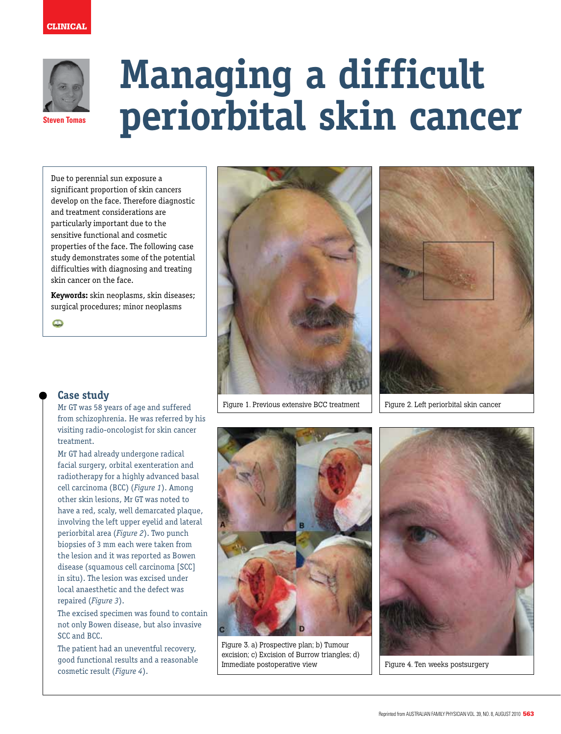

# **Managing a difficult periorbital skin cancer**

Due to perennial sun exposure a significant proportion of skin cancers develop on the face. Therefore diagnostic and treatment considerations are particularly important due to the sensitive functional and cosmetic properties of the face. The following case study demonstrates some of the potential difficulties with diagnosing and treating skin cancer on the face.

**Keywords:** skin neoplasms, skin diseases; surgical procedures; minor neoplasms

 $\bullet$ 



Figure 1. Previous extensive BCC treatment



Figure 2. Left periorbital skin cancer

## **Case study**

Mr GT was 58 years of age and suffered from schizophrenia. He was referred by his visiting radio-oncologist for skin cancer treatment.

Mr GT had already undergone radical facial surgery, orbital exenteration and radiotherapy for a highly advanced basal cell carcinoma (BCC) (*Figure 1*). Among other skin lesions, Mr GT was noted to have a red, scaly, well demarcated plaque, involving the left upper eyelid and lateral periorbital area (*Figure 2*). Two punch biopsies of 3 mm each were taken from the lesion and it was reported as Bowen disease (squamous cell carcinoma [SCC] in situ). The lesion was excised under local anaesthetic and the defect was repaired (*Figure 3*).

The excised specimen was found to contain not only Bowen disease, but also invasive SCC and BCC.

The patient had an uneventful recovery, good functional results and a reasonable cosmetic result (*Figure 4*).



Figure 3. a) Prospective plan; b) Tumour excision; c) Excision of Burrow triangles; d) Immediate postoperative view



Figure 4. Ten weeks postsurgery